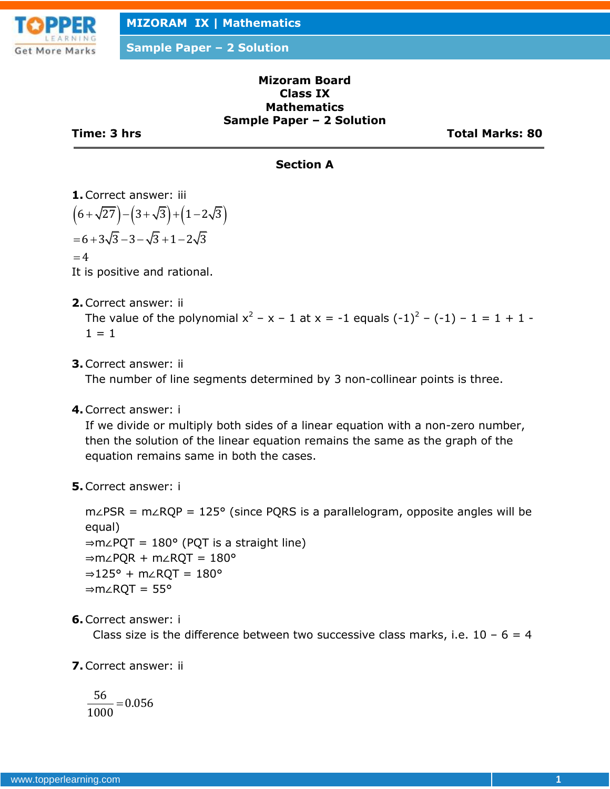

**Sample Paper – 2 Solution**

#### **Mizoram Board Class IX Mathematics Sample Paper – 2 Solution**

**Time: 3 hrs Total Marks: 80**

# **Section A**

- **1.**Correct answer: iii
- 1. Correct answer.  $\sin \left(6 + \sqrt{27}\right) \left(3 + \sqrt{3}\right) + \left(1 2\sqrt{3}\right)$  $= 6 + 3\sqrt{3} - 3 - \sqrt{3} + 1 - 2\sqrt{3}$  $=4$
- It is positive and rational.
- **2.**Correct answer: ii

The value of the polynomial  $x^2 - x - 1$  at  $x = -1$  equals  $(-1)^2 - (-1) - 1 = 1 + 1 1 = 1$ 

**3.**Correct answer: ii

The number of line segments determined by 3 non-collinear points is three.

**4.**Correct answer: i

If we divide or multiply both sides of a linear equation with a non-zero number, then the solution of the linear equation remains the same as the graph of the equation remains same in both the cases.

**5.**Correct answer: i

m∠PSR = m∠RQP = 125° (since PQRS is a parallelogram, opposite angles will be equal) ⇒m∠PQT = 180° (PQT is a straight line) ⇒m∠PQR + m∠RQT = 180° ⇒125° + m∠RQT = 180° ⇒m∠RQT = 55°

**6.**Correct answer: i

Class size is the difference between two successive class marks, i.e.  $10 - 6 = 4$ 

**7.**Correct answer: ii

$$
\frac{56}{1000} = 0.056
$$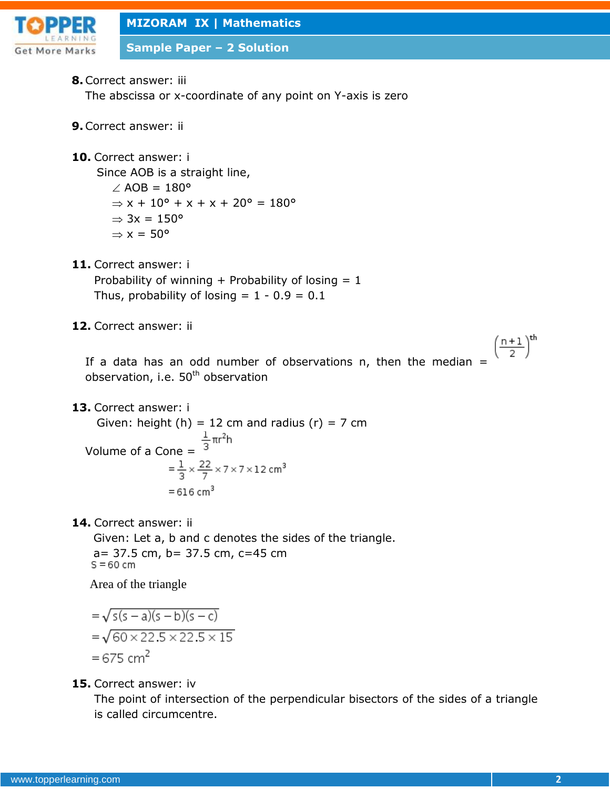

**Sample Paper – 2 Solution**

**8.**Correct answer: iii

The abscissa or x-coordinate of any point on Y-axis is zero

- **9.**Correct answer: ii
- **10.** Correct answer: i

Since AOB is a straight line,

 $\angle$  AOB = 180°  $\Rightarrow$  x + 10° + x + x + 20° = 180°  $\Rightarrow$  3x = 150°  $\Rightarrow$  x = 50 $^{\circ}$ 

**11.** Correct answer: i

Probability of winning  $+$  Probability of losing  $= 1$ Thus, probability of losing =  $1 - 0.9 = 0.1$ 

**12.** Correct answer: ii

 $\left(\frac{n+1}{2}\right)^{th}$ If a data has an odd number of observations n, then the median  $=$ observation, i.e. 50<sup>th</sup> observation

```
13. Correct answer: i
```
Given: height (h) = 12 cm and radius (r) = 7 cm  $\frac{1}{3} \pi r^2 h$ Volume of a Cone =  $=\frac{1}{3}\times\frac{22}{7}\times7\times7\times12$  cm<sup>3</sup>  $=616$  cm<sup>3</sup>

**14.** Correct answer: ii

Given: Let a, b and c denotes the sides of the triangle. a= 37.5 cm, b= 37.5 cm, c=45 cm<br>s = 60 cm

Area of the triangle

$$
= \sqrt{\frac{5(s-a)(s-b)(s-c)}{60 \times 22.5 \times 22.5 \times 15}}
$$

$$
= 675 \text{ cm}^2
$$

**15.** Correct answer: iv

The point of intersection of the perpendicular bisectors of the sides of a triangle is called circumcentre.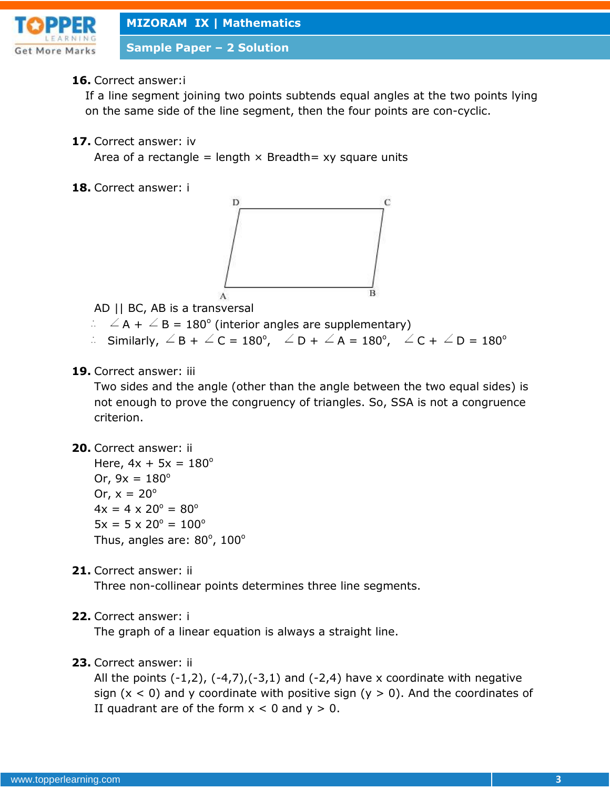

**Sample Paper – 2 Solution**

### **16.** Correct answer:i

If a line segment joining two points subtends equal angles at the two points lying on the same side of the line segment, then the four points are con-cyclic.

**17.** Correct answer: iv

Area of a rectangle = length  $\times$  Breadth= xy square units

**18.** Correct answer: i



AD || BC, AB is a transversal

- A +  $\angle$  B = 180° (interior angles are supplementary)
- Similarly,  $\angle$  B +  $\angle$  C = 180°,  $\angle$  D +  $\angle$  A = 180°,  $\angle$  C +  $\angle$  D = 180°
- **19.** Correct answer: iii

Two sides and the angle (other than the angle between the two equal sides) is not enough to prove the congruency of triangles. So, SSA is not a congruence criterion.

**20.** Correct answer: ii

Here,  $4x + 5x = 180^{\circ}$ Or,  $9x = 180^{\circ}$ Or,  $x = 20^\circ$  $4x = 4 \times 20^{\circ} = 80^{\circ}$  $5x = 5 \times 20^{\circ} = 100^{\circ}$ Thus, angles are:  $80^{\circ}$ ,  $100^{\circ}$ 

**21.** Correct answer: ii

Three non-collinear points determines three line segments.

**22.** Correct answer: i

The graph of a linear equation is always a straight line.

**23.** Correct answer: ii

All the points  $(-1,2)$ ,  $(-4,7)$ ,  $(-3,1)$  and  $(-2,4)$  have x coordinate with negative sign ( $x < 0$ ) and y coordinate with positive sign ( $y > 0$ ). And the coordinates of II quadrant are of the form  $x < 0$  and  $y > 0$ .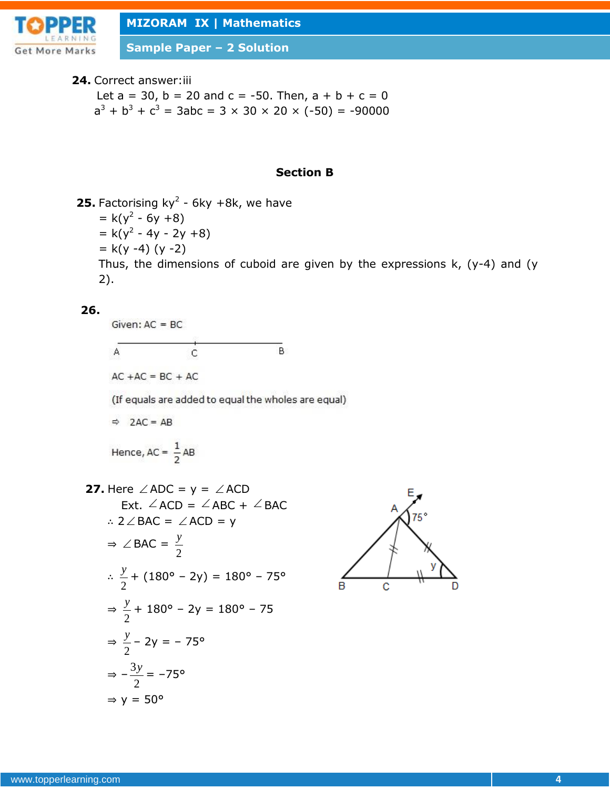

**Sample Paper – 2 Solution**

**24.** Correct answer:iii

Let  $a = 30$ ,  $b = 20$  and  $c = -50$ . Then,  $a + b + c = 0$  $a^3 + b^3 + c^3 = 3abc = 3 \times 30 \times 20 \times (-50) = -90000$ 

#### **Section B**

**25.** Factorising  $ky^2$  - 6ky +8k, we have  $= k(y^2 - 6y + 8)$  $= k(y^2 - 4y - 2y + 8)$  $= k(y -4) (y -2)$ Thus, the dimensions of cuboid are given by the expressions  $k$ , (y-4) and (y 2).

#### **26.**

Given:  $AC = BC$ 

B A C

 $AC + AC = BC + AC$ 

(If equals are added to equal the wholes are equal)

 $\Rightarrow$  2AC = AB

Hence, AC = 
$$
\frac{1}{2}
$$
 AB

**27.** Here 
$$
\angle ADC = y = \angle ACD
$$
  
\nExt.  $\angle ACD = \angle ABC + \angle BAC$   
\n $\therefore 2 \angle BAC = \angle ACD = y$   
\n $\Rightarrow \angle BAC = \frac{y}{2}$   
\n $\therefore \frac{y}{2} + (180^{\circ} - 2y) = 180^{\circ} - 75^{\circ}$   
\n $\Rightarrow \frac{y}{2} + 180^{\circ} - 2y = 180^{\circ} - 75^{\circ}$   
\n $\Rightarrow \frac{y}{2} - 2y = -75^{\circ}$   
\n $\Rightarrow -\frac{3y}{2} = -75^{\circ}$   
\n $\Rightarrow y = 50^{\circ}$ 

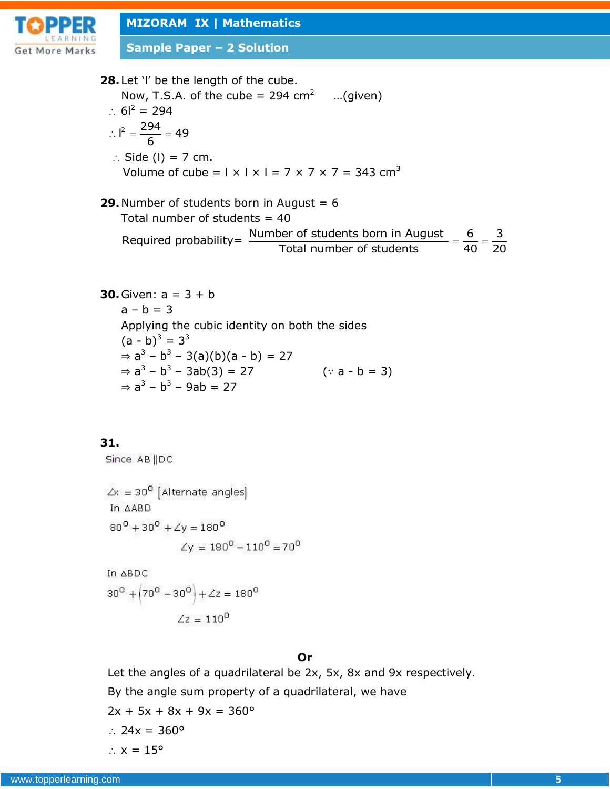

**Sample Paper – 2 Solution**

**28.**Let 'l' be the length of the cube. Now, T.S.A. of the cube = 294 cm<sup>2</sup> ...(given)  $\therefore$  6l<sup>2</sup> = 294  $I^2 = \frac{294}{6} = 49$ 6  $\therefore$   $\vert^2 = \frac{294}{5} = 4$  $\therefore$  Side (I) = 7 cm. Volume of cube =  $1 \times 1 \times 1 = 7 \times 7 \times 7 = 343$  cm<sup>3</sup>

**29.**Number of students born in August = 6 Total number of students  $= 40$ Number of students born in August = 6<br>Total number of students = 40<br>Required probability=  $\frac{\text{Number of students born in August}}{\text{Total number of students}} = \frac{6}{40} = \frac{3}{20}$ August = 6<br>40<br>Jer of students born in August =  $\frac{6}{40} = \frac{3}{20}$  $=\frac{6}{40}=\frac{3}{20}$ 

**30.** Given:  $a = 3 + b$  $a - b = 3$ Applying the cubic identity on both the sides  $(a - b)^3 = 3^3$  $\Rightarrow$  a<sup>3</sup> - b<sup>3</sup> - 3(a)(b)(a - b) = 27  $\Rightarrow$  a<sup>3</sup> – b<sup>3</sup> – 3ab(3) = 27 (∵ a – b = 3)  $\Rightarrow$  a<sup>3</sup> – b<sup>3</sup> – 9ab = 27

**31.**

Since AB ||DC

$$
\angle x = 30^{\circ} \text{ [Alternate angles]}
$$
  
In  $\triangle ABD$   

$$
80^{\circ} + 30^{\circ} + \angle y = 180^{\circ}
$$
  

$$
\angle y = 180^{\circ} - 110^{\circ} = 70^{\circ}
$$

In 
$$
\triangle BDC
$$
  
30<sup>0</sup> +  $(70^0 - 30^0)$  +  $\angle z = 180^0$   
 $\angle z = 110^0$ 

# **Or**

Let the angles of a quadrilateral be 2x, 5x, 8x and 9x respectively.

By the angle sum property of a quadrilateral, we have

 $2x + 5x + 8x + 9x = 360^{\circ}$ 

$$
\therefore 24x = 360^{\circ}
$$

$$
\therefore x = 15^{\circ}
$$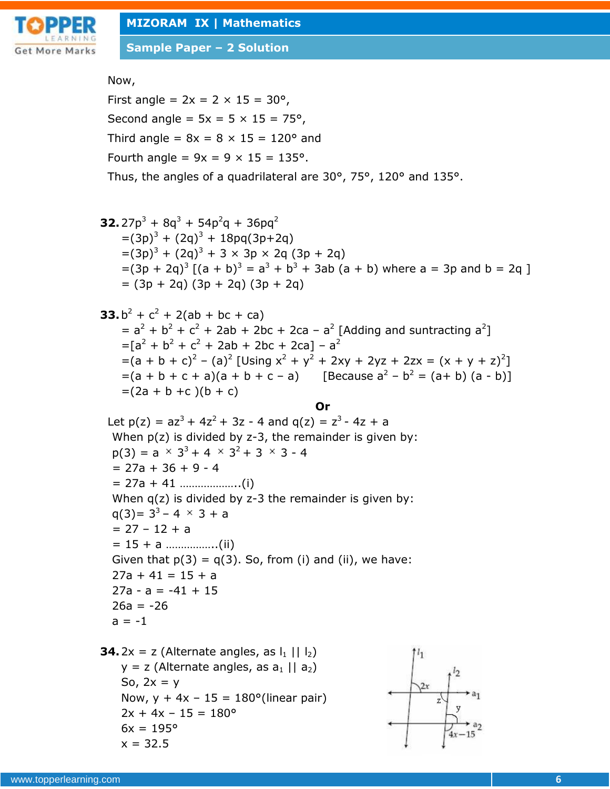

**Sample Paper – 2 Solution**

Now,

First angle =  $2x = 2 \times 15 = 30^{\circ}$ , Second angle =  $5x = 5 \times 15 = 75^{\circ}$ , Third angle =  $8x = 8 \times 15 = 120^{\circ}$  and Fourth angle =  $9x = 9 \times 15 = 135^{\circ}$ . Thus, the angles of a quadrilateral are 30°, 75°, 120° and 135°.

**32.** 
$$
27p^3 + 8q^3 + 54p^2q + 36pq^2
$$
  
\n=  $(3p)^3 + (2q)^3 + 18pq(3p+2q)$   
\n=  $(3p)^3 + (2q)^3 + 3 \times 3p \times 2q (3p + 2q)$   
\n=  $(3p + 2q)^3 [(a + b)^3 = a^3 + b^3 + 3ab (a + b)$  where a = 3p and b = 2q ]  
\n=  $(3p + 2q) (3p + 2q) (3p + 2q)$ 

**33.**  $b^2 + c^2 + 2(ab + bc + ca)$  $= a<sup>2</sup> + b<sup>2</sup> + c<sup>2</sup> + 2ab + 2bc + 2ca - a<sup>2</sup>$  [Adding and suntracting  $a<sup>2</sup>$ ]  $=[a^2 + b^2 + c^2 + 2ab + 2bc + 2ca] - a^2$  $=(a + b + c)^2 - (a)^2$  [Using  $x^2 + y^2 + 2xy + 2yz + 2zx = (x + y + z)^2$ ]  $=(a + b + c + a)(a + b + c - a)$  [Because  $a<sup>2</sup> - b<sup>2</sup> = (a + b) (a - b)$ ]  $=(2a + b + c)(b + c)$ 

# **Or**

Let 
$$
p(z) = az^3 + 4z^2 + 3z - 4
$$
 and  $q(z) = z^3 - 4z + a$   
\nWhen  $p(z)$  is divided by z-3, the remainder is given by:  
\n $p(3) = a \times 3^3 + 4 \times 3^2 + 3 \times 3 - 4$   
\n= 27a + 36 + 9 - 4  
\n= 27a + 41 .................(i)  
\nWhen  $q(z)$  is divided by z-3 the remainder is given by:  
\n $q(3)= 3^3 - 4 \times 3 + a$   
\n= 27 - 12 + a  
\n= 15 + a .................(ii)  
\nGiven that  $p(3) = q(3)$ . So, from (i) and (ii), we have:  
\n27a + 41 = 15 + a  
\n27a - a = -41 + 15  
\n26a = -26  
\na = -1

**34.**  $2x = z$  (Alternate angles, as  $I_1 \mid I_2$ )  $y = z$  (Alternate angles, as  $a_1 || a_2$ ) So,  $2x = y$ Now,  $y + 4x - 15 = 180^{\circ}$ (linear pair)  $2x + 4x - 15 = 180^{\circ}$  $6x = 195^{\circ}$  $x = 32.5$ 

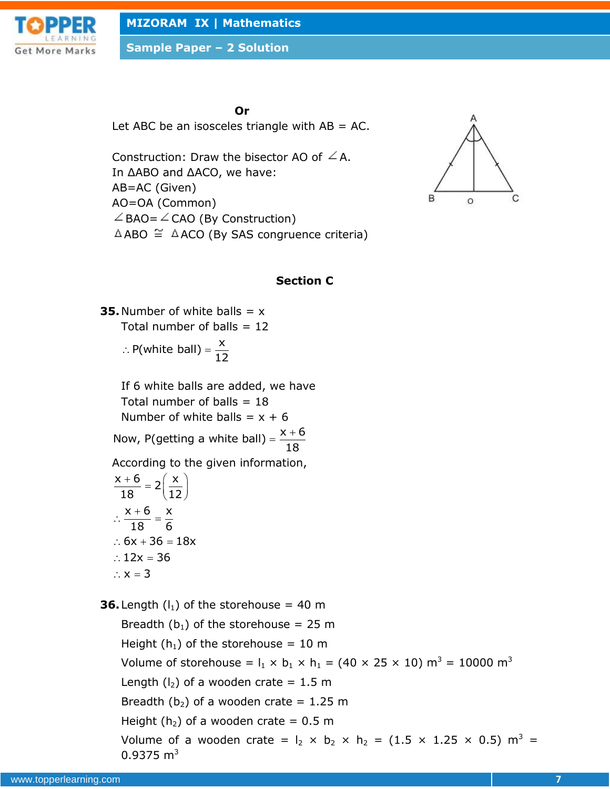

**Sample Paper – 2 Solution**

**35.** Number of white balls  $= x$ 

#### **Or**

Let ABC be an isosceles triangle with  $AB = AC$ .

Construction: Draw the bisector AO of  $\angle A$ . In ΔABO and ΔACO, we have: AB=AC (Given) AO=OA (Common)  $\angle$  BAO=  $\angle$  CAO (By Construction)  $\triangle$ ABO  $\cong$   $\triangle$ ACO (By SAS congruence criteria)



### **Section C**

 www.topperlearning.com **7** Total number of balls  $= 12$ If 6 white balls are added, we have Total number of balls  $= 18$ Number of white balls =  $x + 6$ Number of white balls =  $x + 6$ <br>Now, P(getting a white ball) =  $\frac{x + 6}{10}$ 18  $=\frac{x+}{x+1}$ According to the given information,  $\frac{x+6}{12} = 2\left(\frac{x}{12}\right)$  $18 - 2$  (12)  $x + 6$  x  $\frac{18}{6}$ ∴  $6x + 36 = 18x$  $\therefore$  12x = 36  $\therefore$  x = 3  $+6$   $2(x)$  $=2\left(\frac{\lambda}{12}\right)$  $\therefore \frac{x+6}{10} = \frac{y}{4}$ **36.** Length  $(l_1)$  of the storehouse = 40 m Breadth ( $b_1$ ) of the storehouse = 25 m Height ( $h_1$ ) of the storehouse = 10 m Volume of storehouse =  $I_1 \times I_1 \times I_1 = (40 \times 25 \times 10)$  m<sup>3</sup> = 10000 m<sup>3</sup> Length  $(l_2)$  of a wooden crate = 1.5 m Breadth ( $b_2$ ) of a wooden crate = 1.25 m Height ( $h_2$ ) of a wooden crate = 0.5 m Volume of a wooden crate =  $I_2 \times I_2 \times I_1 = (1.5 \times 1.25 \times 0.5)$  m<sup>3</sup> =  $0.9375$  m<sup>3</sup>  $\therefore$  P(white ball) =  $\frac{x}{15}$ 12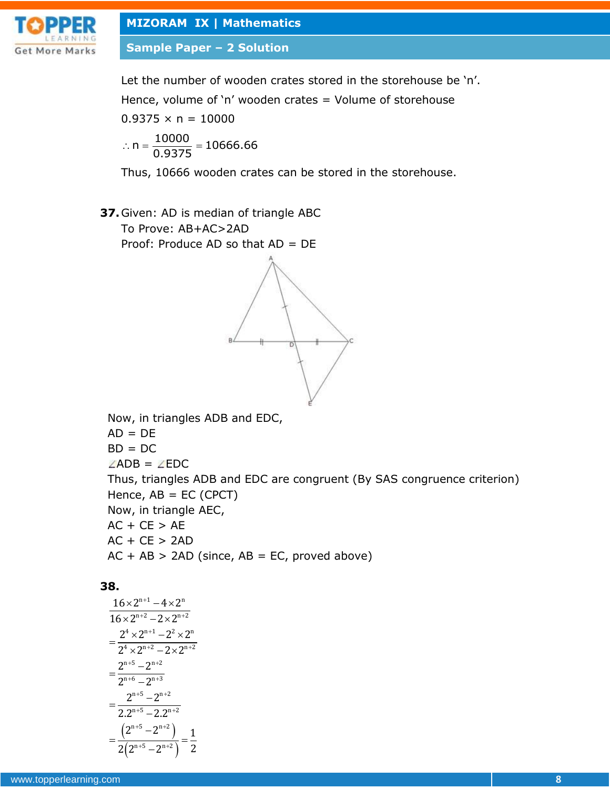

Let the number of wooden crates stored in the storehouse be 'n'.

Hence, volume of 'n' wooden crates = Volume of storehouse

 $0.9375 \times n = 10000$ ∴ n =  $\frac{10000}{0.9375}$  = 10666.66

Thus, 10666 wooden crates can be stored in the storehouse.

**37.**Given: AD is median of triangle ABC To Prove: AB+AC>2AD Proof: Produce AD so that AD = DE



Now, in triangles ADB and EDC,  $AD = DE$  $BD = DC$  $\angle$ ADB =  $\angle$ EDC Thus, triangles ADB and EDC are congruent (By SAS congruence criterion) Hence,  $AB = EC$  (CPCT) Now, in triangle AEC,  $AC + CE > AE$  $AC + CE > 2AD$  $AC + AB > 2AD$  (since,  $AB = EC$ , proved above)

**38.**

$$
\begin{aligned}&\frac{16\times 2^{n+1}-4\times 2^n}{16\times 2^{n+2}-2\times 2^{n+2}}\\&=\frac{2^4\times 2^{n+1}-2^2\times 2^n}{2^4\times 2^{n+2}-2\times 2^{n+2}}\\&=\frac{2^{n+5}-2^{n+2}}{2^{n+6}-2^{n+3}}\\&=\frac{2^{n+5}-2^{n+2}}{2.2^{n+5}-2.2^{n+2}}\\&=\frac{\left(2^{n+5}-2^{n+2}\right)}{2\left(2^{n+5}-2^{n+2}\right)}=\frac{1}{2}\end{aligned}
$$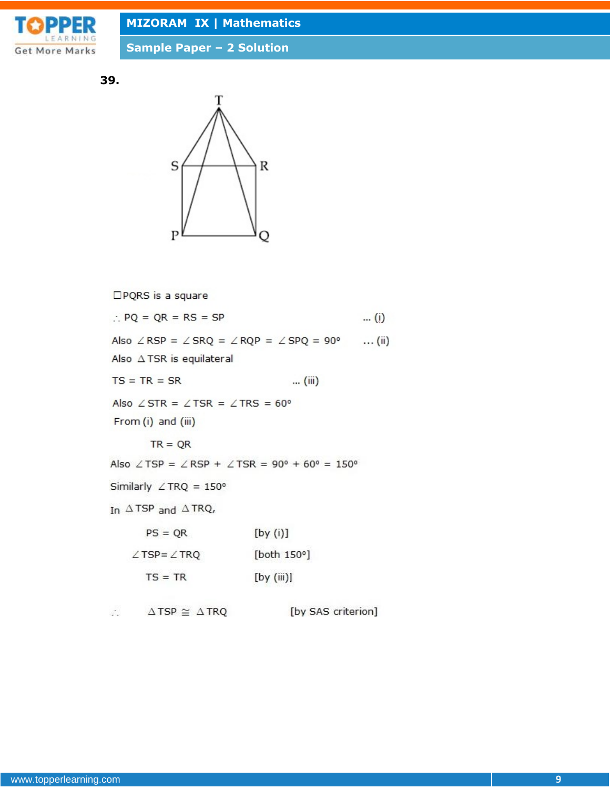

**Sample Paper – 2 Solution**

**39.**



□PQRS is a square  $\therefore$  PQ = QR = RS = SP  $\ldots$  (i) Also  $\angle$  RSP =  $\angle$  SRQ =  $\angle$  RQP =  $\angle$  SPQ = 90°  $\ldots$  (ii) Also  $\triangle$  TSR is equilateral  $TS = TR = SR$ ... (iii) Also  $\angle$  STR =  $\angle$  TSR =  $\angle$  TRS = 60° From (i) and (iii)  $TR = QR$ Also  $\angle$ TSP =  $\angle$ RSP +  $\angle$ TSR = 90° + 60° = 150° Similarly  $\angle$  TRQ = 150° In  $\triangle$  TSP and  $\triangle$  TRQ,  $PS = QR$  $[by (i)]$ [both 150°]  $\angle$ TSP= $\angle$ TRQ  $TS = TR$  $[by (iii)]$ 

[by SAS criterion]  $\triangle$  TSP  $\cong$   $\triangle$  TRQ  $\mathcal{L}_{\mathcal{A}}$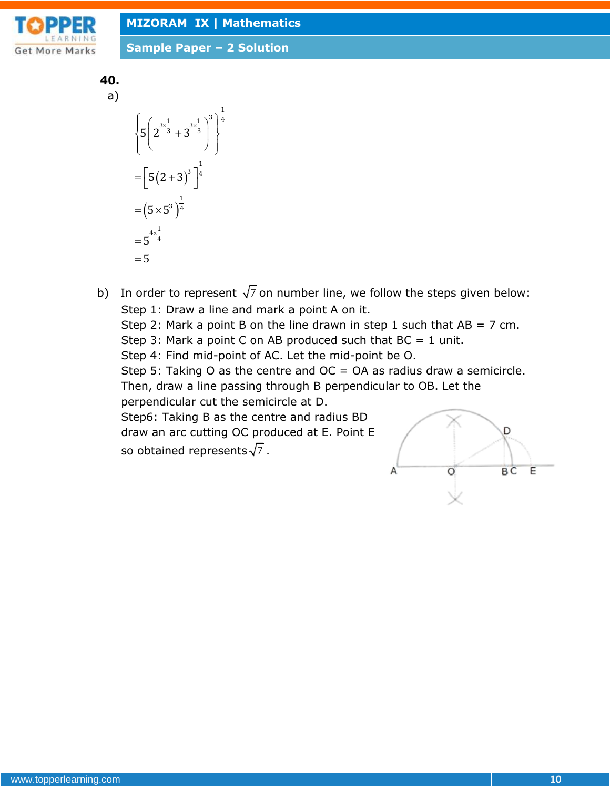

**Sample Paper – 2 Solution**

**40.** a)

```
=\left[5(2+3)^3\right]^{\frac{1}{4}}=(5\times5^3)^{\frac{1}{4}}x = \frac{1}{2} 3x ==5^{4\times}\left\{5\left(2^{3\times\frac{1}{3}}+3^{3\times\frac{1}{3}}\right)^3\right\}^{\frac{1}{4}}\begin{bmatrix} 1 & 1 \\ 1 & 1 \end{bmatrix}
5
   5\left(2^{3\times\frac{1}{3}}+3^{3\times\frac{1}{3}}\right)^3\left|^{\frac{1}{4}}5 \times 5^3 \overline{)^4}5^{4 \times \frac{1}{4}}
```
b) In order to represent  $\sqrt{7}$  on number line, we follow the steps given below: Step 1: Draw a line and mark a point A on it. Step 2: Mark a point B on the line drawn in step 1 such that  $AB = 7$  cm. Step 3: Mark a point C on AB produced such that  $BC = 1$  unit. Step 4: Find mid-point of AC. Let the mid-point be O. Step 5: Taking O as the centre and  $OC = OA$  as radius draw a semicircle. Then, draw a line passing through B perpendicular to OB. Let the perpendicular cut the semicircle at D. Step6: Taking B as the centre and radius BD D draw an arc cutting OC produced at E. Point E so obtained represents  $\sqrt{7}$  .

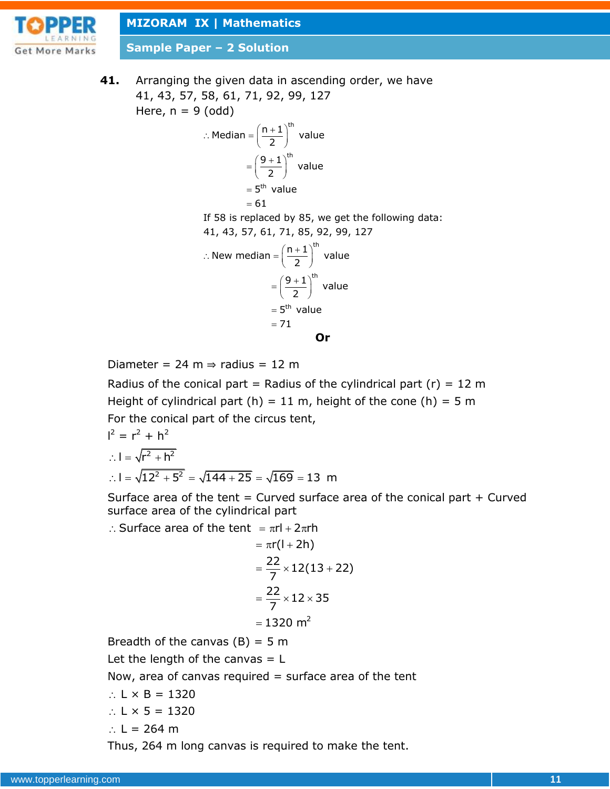

**Sample Paper – 2 Solution**

**41.** Arranging the given data in ascending order, we have 41, 43, 57, 58, 61, 71, 92, 99, 127  
Here, 
$$
n = 9 \text{ (odd)}
$$
.  
  $\therefore \text{Median} = \left(\frac{n+1}{2}\right)^{\text{th}}$  value

$$
1 \text{edian} = \left(\frac{n+1}{2}\right) \quad \text{value}
$$
\n
$$
= \left(\frac{9+1}{2}\right)^{\text{th}} \text{ value}
$$
\n
$$
= 5^{\text{th}} \text{ value}
$$

$$
= 61
$$

If 58 is replaced by 85, we get the following data:

41, 43, 57, 61, 71, 85, 92, 99, 127  
\n∴ New median = 
$$
\left(\frac{n+1}{2}\right)^{th}
$$
 value  
\n=  $\left(\frac{9+1}{2}\right)^{th}$  value  
\n= 5<sup>th</sup> value  
\n= 71

Diameter = 24 m  $\Rightarrow$  radius = 12 m

Radius of the conical part = Radius of the cylindrical part  $(r) = 12$  m Height of cylindrical part (h) = 11 m, height of the cone (h) = 5 m For the conical part of the circus tent,

$$
I2 = r2 + h2
$$
  
∴ I =  $\sqrt{r2 + h2}$   
∴ I =  $\sqrt{122 + 52}$  =  $\sqrt{144 + 25}$  =  $\sqrt{169}$  = 13 m

Surface area of the tent  $=$  Curved surface area of the conical part  $+$  Curved surface area of the cylindrical part<br>  $\therefore$  Surface area of the tent  $\pi r l + 2\pi rh$ 

e tent = 
$$
\pi r l + 2\pi r h
$$
  
\n=  $\pi r (l + 2h)$   
\n=  $\frac{22}{7} \times 12(13 + 22)$   
\n=  $\frac{22}{7} \times 12 \times 35$   
\n= 1320 m<sup>2</sup>

Breadth of the canvas  $(B) = 5$  m

Let the length of the canvas  $= L$ 

Now, area of canvas required  $=$  surface area of the tent

- $\therefore$  L  $\times$  B = 1320
- $\therefore$  L  $\times$  5 = 1320
- ∴  $L = 264$  m

Thus, 264 m long canvas is required to make the tent.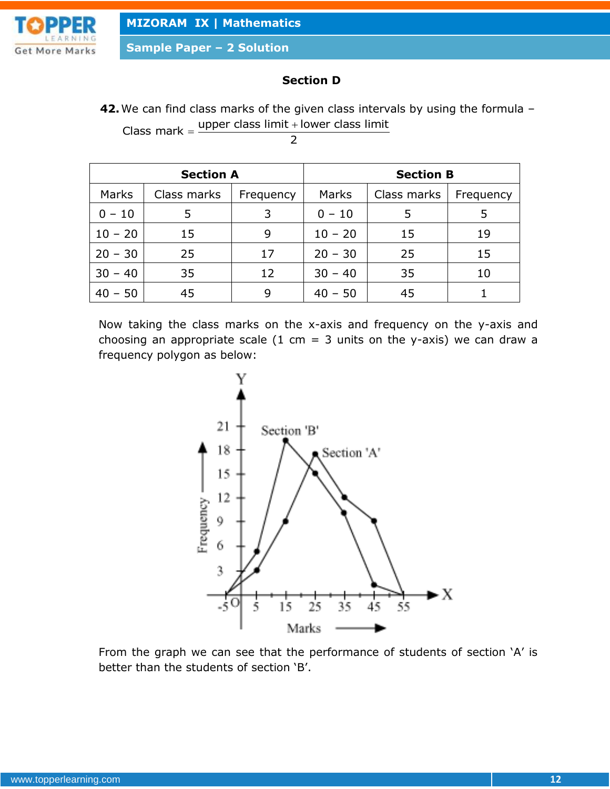

**Sample Paper – 2 Solution**

# **Section D**

**42.**We can find class marks of the given class intervals by using the formula – We can find class marks of the given class interv<br>Class mark =  $\frac{\text{upper class limit} + \text{lower class limit}}{2}$ 

2

| <b>Section A</b> |             |           | <b>Section B</b> |             |           |
|------------------|-------------|-----------|------------------|-------------|-----------|
| Marks            | Class marks | Frequency | Marks            | Class marks | Frequency |
| $0 - 10$         | 5           | 3         | $0 - 10$         | 5           | 5         |
| $10 - 20$        | 15          | 9         | $10 - 20$        | 15          | 19        |
| $20 - 30$        | 25          | 17        | $20 - 30$        | 25          | 15        |
| $30 - 40$        | 35          | 12        | $30 - 40$        | 35          | 10        |
| $40 - 50$        | 45          | q         | $40 - 50$        | 45          |           |

Now taking the class marks on the x-axis and frequency on the y-axis and choosing an appropriate scale (1 cm = 3 units on the y-axis) we can draw a frequency polygon as below:



From the graph we can see that the performance of students of section 'A' is better than the students of section 'B'.